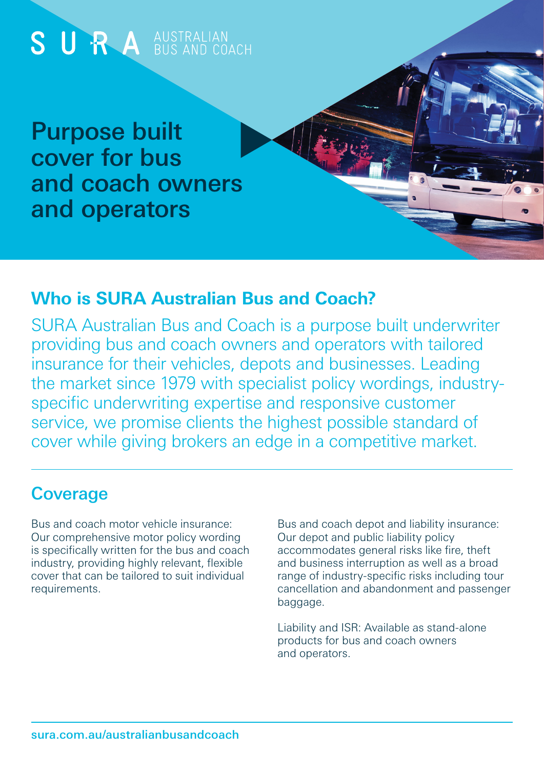

### **Who is SURA Australian Bus and Coach?**

SURA Australian Bus and Coach is a purpose built underwriter providing bus and coach owners and operators with tailored insurance for their vehicles, depots and businesses. Leading the market since 1979 with specialist policy wordings, industryspecific underwriting expertise and responsive customer service, we promise clients the highest possible standard of cover while giving brokers an edge in a competitive market.

### **Coverage**

Bus and coach motor vehicle insurance: Our comprehensive motor policy wording is specifically written for the bus and coach industry, providing highly relevant, flexible cover that can be tailored to suit individual requirements.

Bus and coach depot and liability insurance: Our depot and public liability policy accommodates general risks like fire, theft and business interruption as well as a broad range of industry-specific risks including tour cancellation and abandonment and passenger baggage.

Liability and ISR: Available as stand-alone products for bus and coach owners and operators.